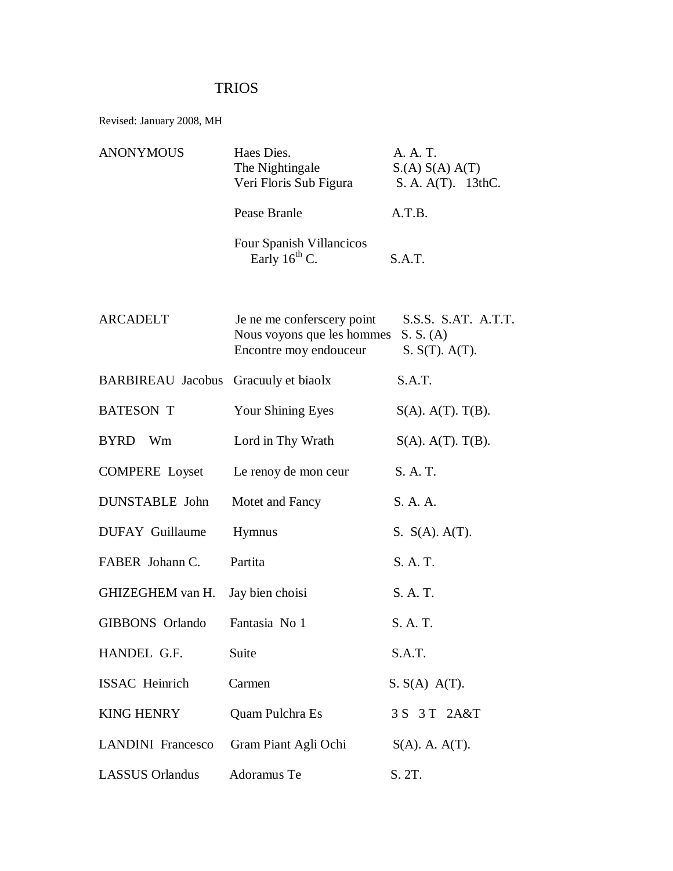## TRIOS

Revised: January 2008, MH

| <b>ANONYMOUS</b>                     | Haes Dies.<br>The Nightingale<br>Veri Floris Sub Figura                            | A. A. T.<br>S(A) S(A) A(T)<br>S. A. A(T). 13thC.   |
|--------------------------------------|------------------------------------------------------------------------------------|----------------------------------------------------|
|                                      | Pease Branle                                                                       | A.T.B.                                             |
|                                      | Four Spanish Villancicos<br>Early $16^{th}$ C.                                     | S.A.T.                                             |
| <b>ARCADELT</b>                      | Je ne me conferscery point<br>Nous voyons que les hommes<br>Encontre moy endouceur | S.S.S. S.AT. A.T.T.<br>S. S. (A)<br>S. S(T). A(T). |
| BARBIREAU Jacobus Gracuuly et biaolx |                                                                                    | S.A.T.                                             |
| <b>BATESON T</b>                     | <b>Your Shining Eyes</b>                                                           | $S(A)$ . $A(T)$ . $T(B)$ .                         |
| BYRD Wm                              | Lord in Thy Wrath                                                                  | $S(A)$ . $A(T)$ . $T(B)$ .                         |
| <b>COMPERE</b> Loyset                | Le renoy de mon ceur                                                               | S. A. T.                                           |
| <b>DUNSTABLE</b> John                | Motet and Fancy                                                                    | S. A. A.                                           |
| <b>DUFAY</b> Guillaume               | <b>Hymnus</b>                                                                      | S. S(A). A(T).                                     |
|                                      |                                                                                    |                                                    |

FABER Johann C. Partita S. A. T.

| GHIZEGHEM van H. Jay bien choisi | S. A. T. |
|----------------------------------|----------|
|                                  |          |

GIBBONS Orlando Fantasia No 1 S. A. T.

| HANDEL G.F.            | Suite                                  | S.A.T.               |
|------------------------|----------------------------------------|----------------------|
| ISSAC Heinrich         | Carmen                                 | $S. S(A) A(T)$ .     |
| <b>KING HENRY</b>      | Quam Pulchra Es                        | 3 S 3 T 2A&T         |
|                        | LANDINI Francesco Gram Piant Agli Ochi | $S(A)$ . A. $A(T)$ . |
| <b>LASSUS Orlandus</b> | Adoramus Te                            | S. 2T.               |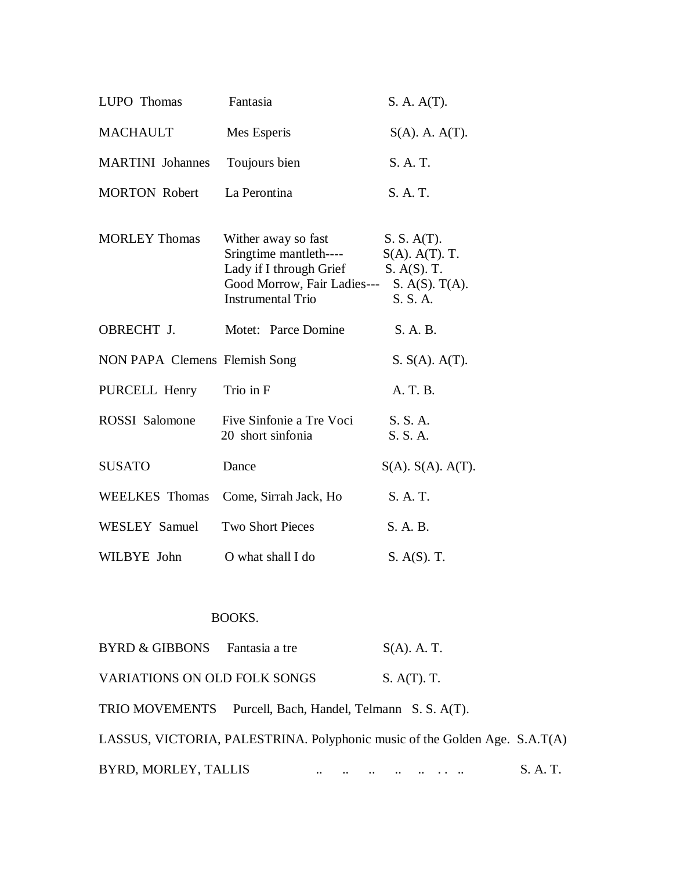| LUPO Thomas                   | Fantasia                                                                                                                                           | S. A. A(T).                                                      |
|-------------------------------|----------------------------------------------------------------------------------------------------------------------------------------------------|------------------------------------------------------------------|
| <b>MACHAULT</b>               | Mes Esperis                                                                                                                                        | $S(A)$ . A. $A(T)$ .                                             |
| <b>MARTINI</b> Johannes       | Toujours bien                                                                                                                                      | S. A. T.                                                         |
| <b>MORTON Robert</b>          | La Perontina                                                                                                                                       | S. A. T.                                                         |
| <b>MORLEY Thomas</b>          | Wither away so fast<br>Sringtime mantleth----<br>Lady if I through Grief<br>Good Morrow, Fair Ladies--- S. A(S). T(A).<br><b>Instrumental Trio</b> | S. S. A(T).<br>$S(A)$ . $A(T)$ . T.<br>$S. A(S).$ T.<br>S. S. A. |
| OBRECHT J.                    | Motet: Parce Domine                                                                                                                                | S. A. B.                                                         |
| NON PAPA Clemens Flemish Song |                                                                                                                                                    | S. S(A). A(T).                                                   |
| PURCELL Henry                 | Trio in F                                                                                                                                          | A. T. B.                                                         |
| <b>ROSSI</b> Salomone         | Five Sinfonie a Tre Voci<br>20 short sinfonia                                                                                                      | S. S. A.<br>S. S. A.                                             |
| <b>SUSATO</b>                 | Dance                                                                                                                                              | $S(A)$ . $S(A)$ . $A(T)$ .                                       |
| <b>WEELKES</b> Thomas         | Come, Sirrah Jack, Ho                                                                                                                              | S. A. T.                                                         |
| WESLEY Samuel                 | <b>Two Short Pieces</b>                                                                                                                            | S. A. B.                                                         |
| WILBYE John                   | O what shall I do                                                                                                                                  | S. A(S). T.                                                      |

## BOOKS.

| BYRD & GIBBONS Fantasia a tre |                                                                            | $S(A)$ . A. T. |          |
|-------------------------------|----------------------------------------------------------------------------|----------------|----------|
| VARIATIONS ON OLD FOLK SONGS  |                                                                            | S. A(T). T.    |          |
|                               | TRIO MOVEMENTS Purcell, Bach, Handel, Telmann S. S. A(T).                  |                |          |
|                               | LASSUS, VICTORIA, PALESTRINA. Polyphonic music of the Golden Age. S.A.T(A) |                |          |
| BYRD, MORLEY, TALLIS          |                                                                            |                | S. A. T. |